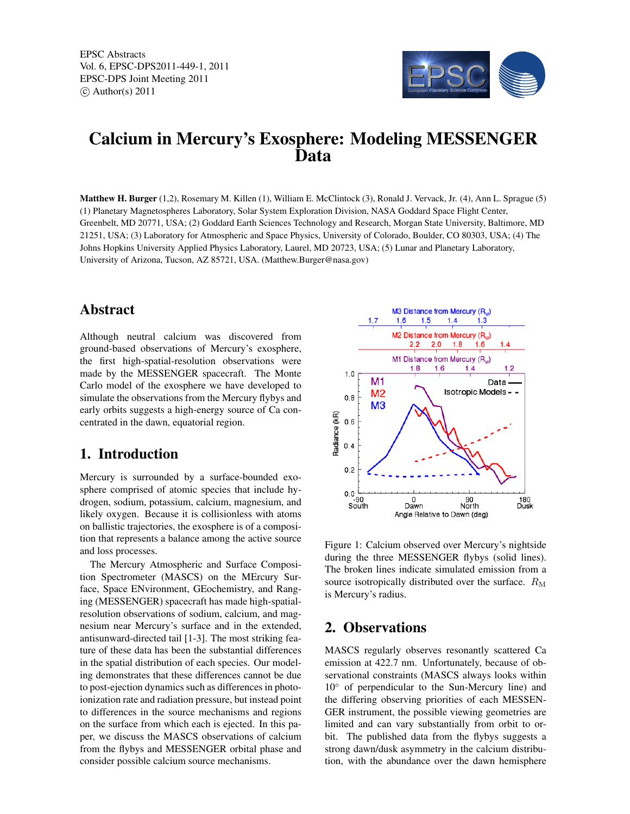EPSC Abstracts Vol. 6, EPSC-DPS2011-449-1, 2011 EPSC-DPS Joint Meeting 2011  $\circ$  Author(s) 2011



# Calcium in Mercury's Exosphere: Modeling MESSENGER Data

Matthew H. Burger (1,2), Rosemary M. Killen (1), William E. McClintock (3), Ronald J. Vervack, Jr. (4), Ann L. Sprague (5) (1) Planetary Magnetospheres Laboratory, Solar System Exploration Division, NASA Goddard Space Flight Center, Greenbelt, MD 20771, USA; (2) Goddard Earth Sciences Technology and Research, Morgan State University, Baltimore, MD 21251, USA; (3) Laboratory for Atmospheric and Space Physics, University of Colorado, Boulder, CO 80303, USA; (4) The Johns Hopkins University Applied Physics Laboratory, Laurel, MD 20723, USA; (5) Lunar and Planetary Laboratory, University of Arizona, Tucson, AZ 85721, USA. (Matthew.Burger@nasa.gov)

# Abstract

Although neutral calcium was discovered from ground-based observations of Mercury's exosphere, the first high-spatial-resolution observations were made by the MESSENGER spacecraft. The Monte Carlo model of the exosphere we have developed to simulate the observations from the Mercury flybys and early orbits suggests a high-energy source of Ca concentrated in the dawn, equatorial region.

# 1. Introduction

Mercury is surrounded by a surface-bounded exosphere comprised of atomic species that include hydrogen, sodium, potassium, calcium, magnesium, and likely oxygen. Because it is collisionless with atoms on ballistic trajectories, the exosphere is of a composition that represents a balance among the active source and loss processes.

The Mercury Atmospheric and Surface Composition Spectrometer (MASCS) on the MErcury Surface, Space ENvironment, GEochemistry, and Ranging (MESSENGER) spacecraft has made high-spatialresolution observations of sodium, calcium, and magnesium near Mercury's surface and in the extended, antisunward-directed tail [1-3]. The most striking feature of these data has been the substantial differences in the spatial distribution of each species. Our modeling demonstrates that these differences cannot be due to post-ejection dynamics such as differences in photoionization rate and radiation pressure, but instead point to differences in the source mechanisms and regions on the surface from which each is ejected. In this paper, we discuss the MASCS observations of calcium from the flybys and MESSENGER orbital phase and consider possible calcium source mechanisms.



Figure 1: Calcium observed over Mercury's nightside during the three MESSENGER flybys (solid lines). The broken lines indicate simulated emission from a source isotropically distributed over the surface.  $R_M$ is Mercury's radius.

# 2. Observations

MASCS regularly observes resonantly scattered Ca emission at 422.7 nm. Unfortunately, because of observational constraints (MASCS always looks within 10◦ of perpendicular to the Sun-Mercury line) and the differing observing priorities of each MESSEN-GER instrument, the possible viewing geometries are limited and can vary substantially from orbit to orbit. The published data from the flybys suggests a strong dawn/dusk asymmetry in the calcium distribution, with the abundance over the dawn hemisphere